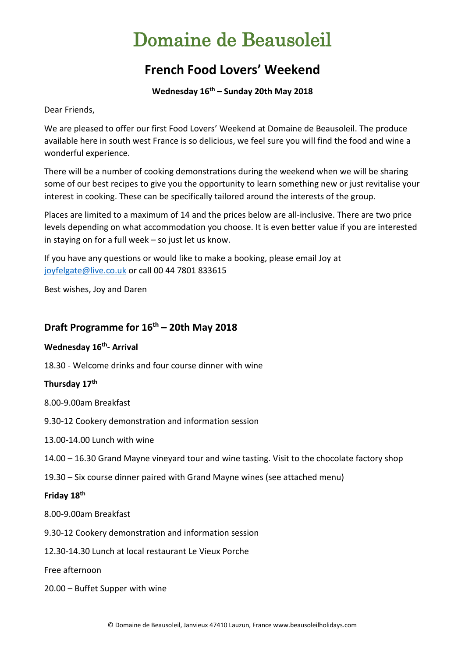# Domaine de Beausoleil

# **French Food Lovers' Weekend**

**Wednesday 16th – Sunday 20th May 2018**

Dear Friends,

We are pleased to offer our first Food Lovers' Weekend at Domaine de Beausoleil. The produce available here in south west France is so delicious, we feel sure you will find the food and wine a wonderful experience.

There will be a number of cooking demonstrations during the weekend when we will be sharing some of our best recipes to give you the opportunity to learn something new or just revitalise your interest in cooking. These can be specifically tailored around the interests of the group.

Places are limited to a maximum of 14 and the prices below are all-inclusive. There are two price levels depending on what accommodation you choose. It is even better value if you are interested in staying on for a full week – so just let us know.

If you have any questions or would like to make a booking, please email Joy at [joyfelgate@live.co.uk](mailto:joyfelgate@live.co.uk) or call 00 44 7801 833615

Best wishes, Joy and Daren

# **Draft Programme for 16 th – 20th May 2018**

**Wednesday 16th - Arrival**

18.30 - Welcome drinks and four course dinner with wine

### **Thursday 17 th**

8.00-9.00am Breakfast

- 9.30-12 Cookery demonstration and information session
- 13.00-14.00 Lunch with wine
- 14.00 16.30 Grand Mayne vineyard tour and wine tasting. Visit to the chocolate factory shop
- 19.30 Six course dinner paired with Grand Mayne wines (see attached menu)

### **Friday 18 th**

- 8.00-9.00am Breakfast
- 9.30-12 Cookery demonstration and information session
- 12.30-14.30 Lunch at local restaurant Le Vieux Porche

Free afternoon

20.00 – Buffet Supper with wine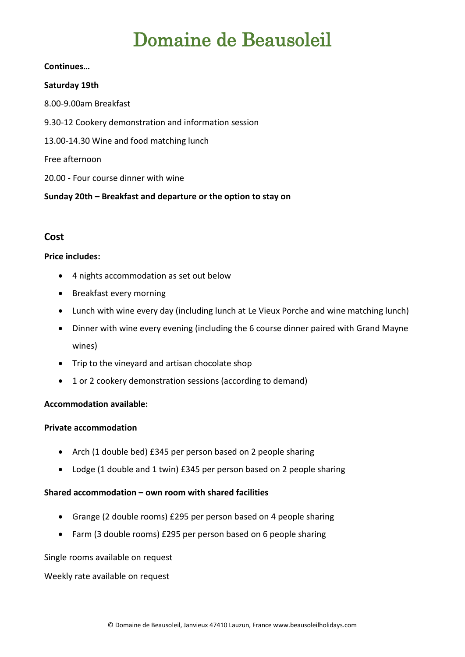# Domaine de Beausoleil

#### **Continues…**

#### **Saturday 19th**

8.00-9.00am Breakfast 9.30-12 Cookery demonstration and information session 13.00-14.30 Wine and food matching lunch Free afternoon 20.00 - Four course dinner with wine

**Sunday 20th – Breakfast and departure or the option to stay on**

## **Cost**

#### **Price includes:**

- 4 nights accommodation as set out below
- Breakfast every morning
- Lunch with wine every day (including lunch at Le Vieux Porche and wine matching lunch)
- Dinner with wine every evening (including the 6 course dinner paired with Grand Mayne wines)
- Trip to the vineyard and artisan chocolate shop
- 1 or 2 cookery demonstration sessions (according to demand)

### **Accommodation available:**

#### **Private accommodation**

- Arch (1 double bed) £345 per person based on 2 people sharing
- Lodge (1 double and 1 twin) £345 per person based on 2 people sharing

### **Shared accommodation – own room with shared facilities**

- Grange (2 double rooms) £295 per person based on 4 people sharing
- Farm (3 double rooms) £295 per person based on 6 people sharing

Single rooms available on request

Weekly rate available on request